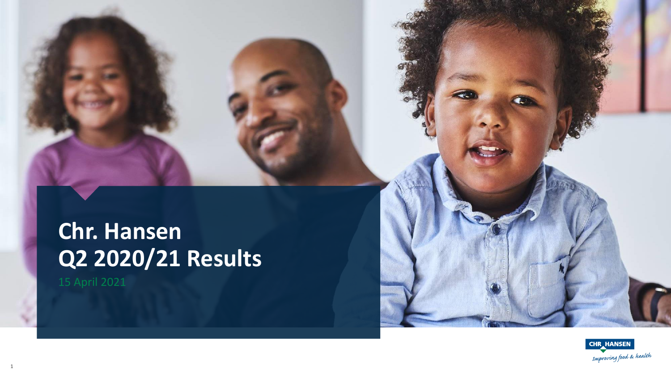# **Chr. Hansen Q2 2020/21 Results**



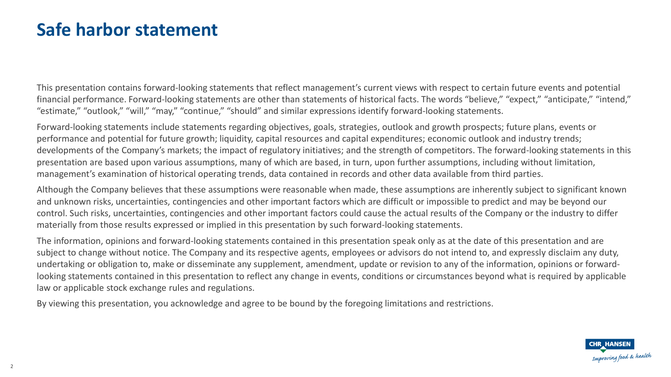### **Safe harbor statement**

This presentation contains forward-looking statements that reflect management's current views with respect to certain future events and potential financial performance. Forward-looking statements are other than statements of historical facts. The words "believe," "expect," "anticipate," "intend," "estimate," "outlook," "will," "may," "continue," "should" and similar expressions identify forward-looking statements.

Forward-looking statements include statements regarding objectives, goals, strategies, outlook and growth prospects; future plans, events or performance and potential for future growth; liquidity, capital resources and capital expenditures; economic outlook and industry trends; developments of the Company's markets; the impact of regulatory initiatives; and the strength of competitors. The forward-looking statements in this presentation are based upon various assumptions, many of which are based, in turn, upon further assumptions, including without limitation, management's examination of historical operating trends, data contained in records and other data available from third parties.

Although the Company believes that these assumptions were reasonable when made, these assumptions are inherently subject to significant known and unknown risks, uncertainties, contingencies and other important factors which are difficult or impossible to predict and may be beyond our control. Such risks, uncertainties, contingencies and other important factors could cause the actual results of the Company or the industry to differ materially from those results expressed or implied in this presentation by such forward-looking statements.

The information, opinions and forward-looking statements contained in this presentation speak only as at the date of this presentation and are subject to change without notice. The Company and its respective agents, employees or advisors do not intend to, and expressly disclaim any duty, undertaking or obligation to, make or disseminate any supplement, amendment, update or revision to any of the information, opinions or forwardlooking statements contained in this presentation to reflect any change in events, conditions or circumstances beyond what is required by applicable law or applicable stock exchange rules and regulations.

By viewing this presentation, you acknowledge and agree to be bound by the foregoing limitations and restrictions.

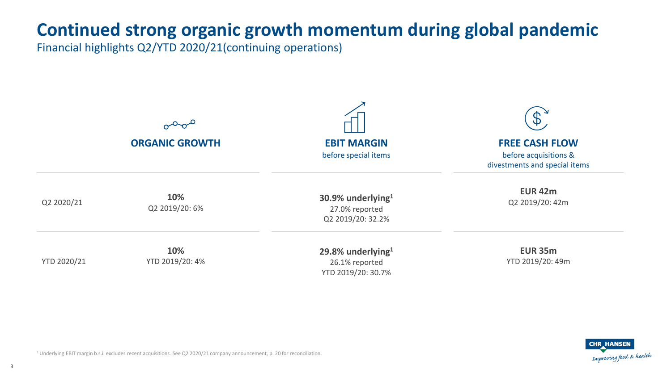### **Continued strong organic growth momentum during global pandemic**

Financial highlights Q2/YTD 2020/21(continuing operations)





<sup>1</sup>Underlying EBIT margin b.s.i. excludes recent acquisitions. See Q2 2020/21 company announcement, p. 20 for reconciliation.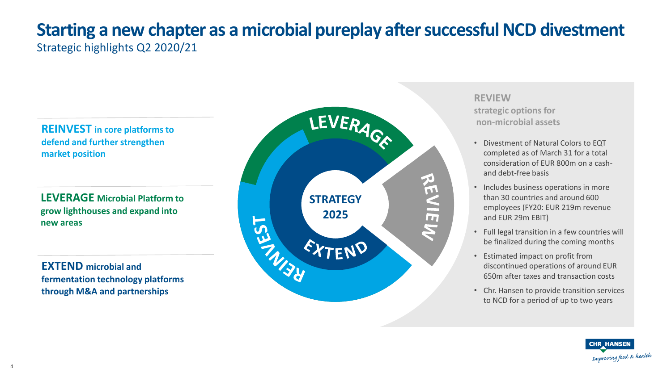### **Starting a new chapter as a microbial pureplay after successful NCD divestment** Strategic highlights Q2 2020/21

**REINVEST in core platforms to defend and further strengthen market position**

**LEVERAGE Microbial Platform to grow lighthouses and expand into new areas**

**EXTEND microbial and fermentation technology platforms through M&A and partnerships**



**REVIEW strategic options for**

**non-microbial assets**

- Divestment of Natural Colors to EQT completed as of March 31 for a total consideration of EUR 800m on a cashand debt-free basis
- Includes business operations in more than 30 countries and around 600 employees (FY20: EUR 219m revenue and EUR 29m EBIT)
- Full legal transition in a few countries will be finalized during the coming months
- Estimated impact on profit from discontinued operations of around EUR 650m after taxes and transaction costs
- Chr. Hansen to provide transition services to NCD for a period of up to two years

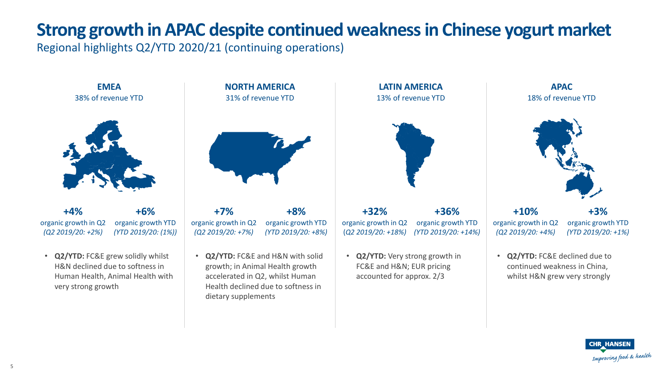### **Strong growth in APAC despite continued weakness in Chinese yogurt market**

Regional highlights Q2/YTD 2020/21 (continuing operations)



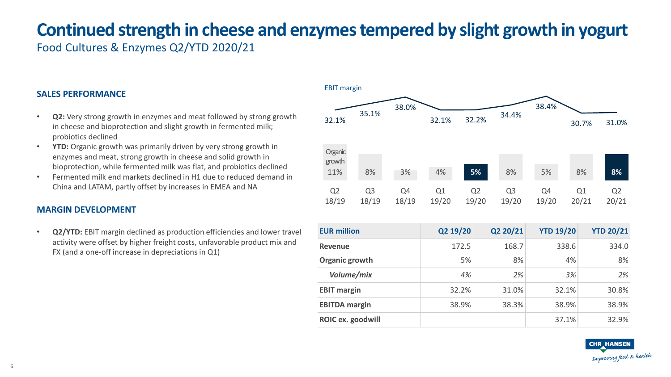### **Continued strength in cheese and enzymes tempered by slight growth in yogurt**

Food Cultures & Enzymes Q2/YTD 2020/21

#### **SALES PERFORMANCE**

- **Q2:** Very strong growth in enzymes and meat followed by strong growth in cheese and bioprotection and slight growth in fermented milk; probiotics declined
- **YTD:** Organic growth was primarily driven by very strong growth in enzymes and meat, strong growth in cheese and solid growth in bioprotection, while fermented milk was flat, and probiotics declined
- Fermented milk end markets declined in H1 due to reduced demand in China and LATAM, partly offset by increases in EMEA and NA

#### **MARGIN DEVELOPMENT**

• **Q2/YTD:** EBIT margin declined as production efficiencies and lower travel activity were offset by higher freight costs, unfavorable product mix and FX (and a one-off increase in depreciations in Q1)



| <b>EUR million</b>   | Q2 19/20 | Q2 20/21 | <b>YTD 19/20</b> | <b>YTD 20/21</b> |
|----------------------|----------|----------|------------------|------------------|
| <b>Revenue</b>       | 172.5    | 168.7    | 338.6            | 334.0            |
| Organic growth       | 5%       | 8%       | 4%               | 8%               |
| Volume/mix           | 4%       | 2%       | 3%               | 2%               |
| <b>EBIT margin</b>   | 32.2%    | 31.0%    | 32.1%            | 30.8%            |
| <b>EBITDA</b> margin | 38.9%    | 38.3%    | 38.9%            | 38.9%            |
| ROIC ex. goodwill    |          |          | 37.1%            | 32.9%            |

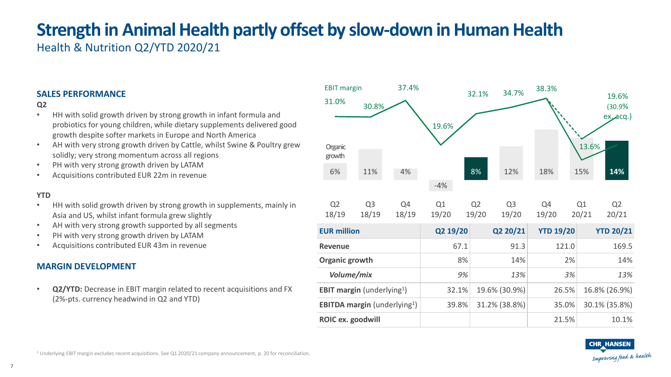### **Strength in Animal Health partly offset by slow-down in Human Health** Health & Nutrition Q2/YTD 2020/21

#### **SALES PERFORMANCE**

#### **Q2**

- HH with solid growth driven by strong growth in infant formula and probiotics for young children, while dietary supplements delivered good growth despite softer markets in Europe and North America
- AH with very strong growth driven by Cattle, whilst Swine & Poultry grew solidly; very strong momentum across all regions
- PH with very strong growth driven by LATAM
- Acquisitions contributed EUR 22m in revenue

#### **YTD**

- HH with solid growth driven by strong growth in supplements, mainly in Asia and US, whilst infant formula grew slightly
- AH with very strong growth supported by all segments
- PH with very strong growth driven by LATAM
- Acquisitions contributed EUR 43m in revenue

#### **MARGIN DEVELOPMENT**

• **Q2/YTD:** Decrease in EBIT margin related to recent acquisitions and FX (2%-pts. currency headwind in Q2 and YTD)





<sup>1</sup> Underlying EBIT margin excludes recent acquisitions. See Q1 2020/21 company announcement, p. 20 for reconciliation.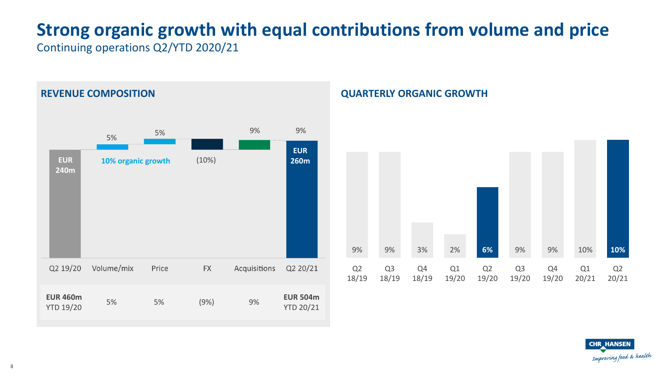## **Strong organic growth with equal contributions from volume and price**

Continuing operations Q2/YTD 2020/21





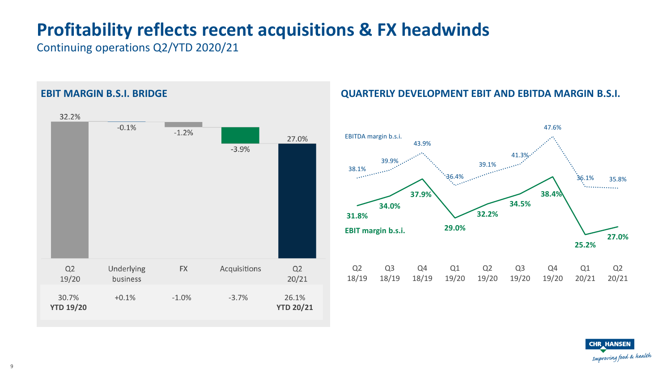### **Profitability reflects recent acquisitions & FX headwinds**

Continuing operations Q2/YTD 2020/21



### **EBIT MARGIN B.S.I. BRIDGE QUARTERLY DEVELOPMENT EBIT AND EBITDA MARGIN B.S.I.**



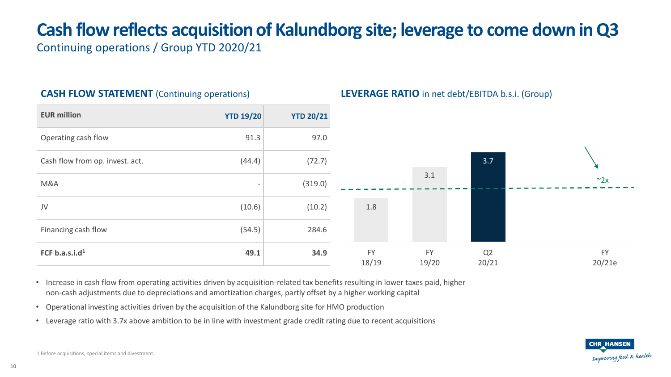### **Cash flow reflects acquisition of Kalundborg site; leverage to come down in Q3**

Continuing operations / Group YTD 2020/21

### **CASH FLOW STATEMENT** (Continuing operations) **LEVERAGE RATIO** in net debt/EBITDA b.s.i. (Group)

| <b>EUR million</b>              | <b>YTD 19/20</b> | <b>YTD 20/21</b> |                    |                    |                         |                     |
|---------------------------------|------------------|------------------|--------------------|--------------------|-------------------------|---------------------|
| Operating cash flow             | 91.3             | 97.0             |                    |                    |                         |                     |
| Cash flow from op. invest. act. | (44.4)           | (72.7)           |                    |                    | 3.7                     |                     |
| M&A                             |                  | (319.0)          |                    | 3.1                |                         | ~2x                 |
| JV                              | (10.6)           | (10.2)           | 1.8                |                    |                         |                     |
| Financing cash flow             | (54.5)           | 284.6            |                    |                    |                         |                     |
| FCF b.a.s.i. $d^1$              | 49.1             | 34.9             | <b>FY</b><br>18/19 | <b>FY</b><br>19/20 | Q <sub>2</sub><br>20/21 | <b>FY</b><br>20/21e |

- Increase in cash flow from operating activities driven by acquisition-related tax benefits resulting in lower taxes paid, higher non-cash adjustments due to depreciations and amortization charges, partly offset by a higher working capital
- Operational investing activities driven by the acquisition of the Kalundborg site for HMO production
- Leverage ratio with 3.7x above ambition to be in line with investment grade credit rating due to recent acquisitions



1 Before acquisitions, special items and divestment.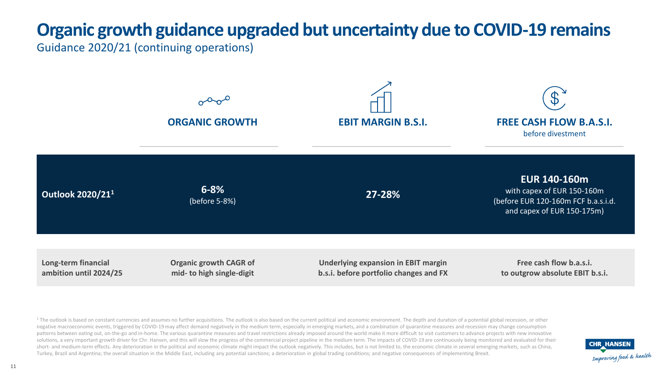### **Organic growth guidance upgraded but uncertainty due to COVID-19 remains**

Guidance 2020/21 (continuing operations)



<sup>1</sup> The outlook is based on constant currencies and assumes no further acquisitions. The outlook is also based on the current political and economic environment. The depth and duration of a potential global recession, or o negative macroeconomic events, triggered by COVID-19 may affect demand negatively in the medium term, especially in emerging markets, and a combination of quarantine measures and recession may change consumption patterns between eating out, on-the-go and in-home. The various quarantine measures and travel restrictions already imposed around the world make it more difficult to visit customers to advance projects with new innovative solutions, a very important growth driver for Chr. Hansen, and this will slow the progress of the commercial project pipeline in the medium term. The impacts of COVID-19 are continuously being monitored and evaluated for t short- and medium-term effects. Any deterioration in the political and economic climate might impact the outlook negatively. This includes, but is not limited to, the economic climate in several emerging markets, such as C Turkey, Brazil and Argentina; the overall situation in the Middle East, including any potential sanctions; a deterioration in global trading conditions; and negative consequences of implementing Brexit.

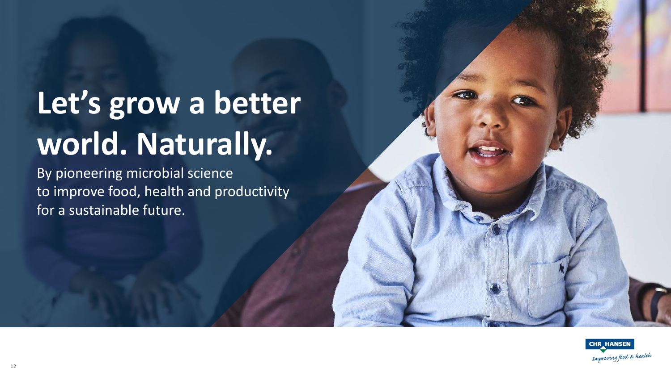# **Let's grow a better world. Naturally.**

By pioneering microbial science to improve food, health and productivity for a sustainable future.